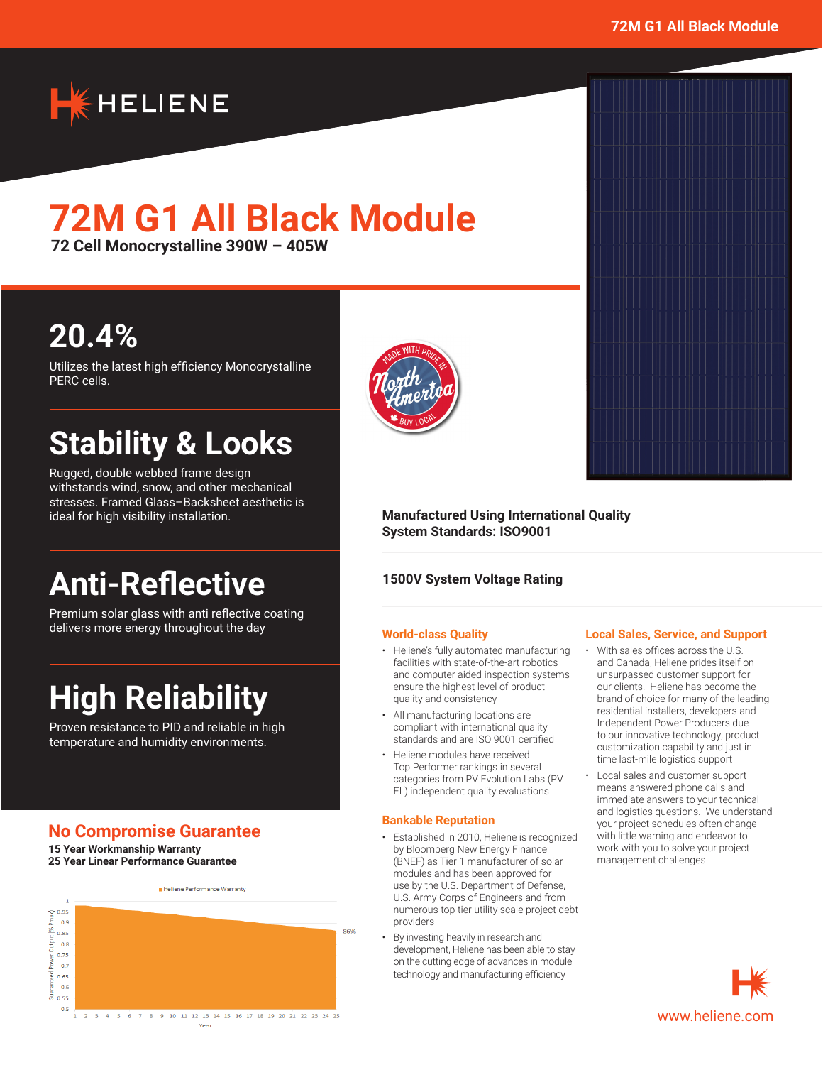

# **72M G1 All Black Module**

**72 Cell Monocrystalline 390W – 405W**

## **20.4%**

Utilizes the latest high efficiency Monocrystalline PERC cells.

## **Stability & Looks**

Rugged, double webbed frame design withstands wind, snow, and other mechanical stresses. Framed Glass–Backsheet aesthetic is ideal for high visibility installation.

## **Anti-Reflective**

Premium solar glass with anti reflective coating delivers more energy throughout the day

## **High Reliability**

Proven resistance to PID and reliable in high temperature and humidity environments.

## **No Compromise Guarantee**

**15 Year Workmanship Warranty 25 Year Linear Performance Guarantee**





#### **Manufactured Using International Quality System Standards: ISO9001**

### **1500V System Voltage Rating**

#### **World-class Quality**

- Heliene's fully automated manufacturing facilities with state-of-the-art robotics and computer aided inspection systems ensure the highest level of product quality and consistency
- All manufacturing locations are compliant with international quality standards and are ISO 9001 certified
- Heliene modules have received Top Performer rankings in several categories from PV Evolution Labs (PV EL) independent quality evaluations

#### **Bankable Reputation**

- Established in 2010, Heliene is recognized by Bloomberg New Energy Finance (BNEF) as Tier 1 manufacturer of solar modules and has been approved for use by the U.S. Department of Defense, U.S. Army Corps of Engineers and from numerous top tier utility scale project debt providers
- By investing heavily in research and development, Heliene has been able to stay on the cutting edge of advances in module technology and manufacturing efficiency

#### **Local Sales, Service, and Support**

- With sales offices across the U.S. and Canada, Heliene prides itself on unsurpassed customer support for our clients. Heliene has become the brand of choice for many of the leading residential installers, developers and Independent Power Producers due to our innovative technology, product customization capability and just in time last-mile logistics support
- Local sales and customer support means answered phone calls and immediate answers to your technical and logistics questions. We understand your project schedules often change with little warning and endeavor to work with you to solve your project management challenges